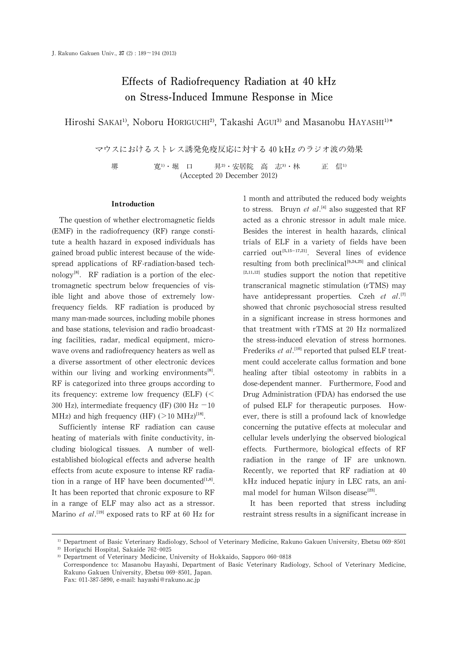# Effects of Radiofrequency Radiation at 40 kHz on Stress-Induced Immune Response in Mice

Hiroshi SAKAI<sup>1)</sup>, Noboru HORIGUCHI<sup>2)</sup>, Takashi AGUI<sup>3)</sup> and Masanobu HAYASHI<sup>1)\*</sup>

マウスにおけるストレス誘発免疫反応に対する 40kHzのラジオ波の効果

堺 寛<sup>1)</sup>・堀 口 昇<sup>2)</sup>・安居院 高 志<sup>3)</sup>・林 正 信<sup>1)</sup> (Accepted 20 December 2012)

#### Introduction

The question of whether electromagnetic fields (EMF) in the radiofrequency (RF) range constitute a health hazard in exposed individuals has gained broad public interest because of the widespread applications of RF-radiation-based technology<sup>[8]</sup>. RF radiation is a portion of the electromagnetic spectrum below frequencies of visible light and above those of extremely lowfrequency fields. RF radiation is produced by many man-made sources, including mobile phones and base stations, television and radio broadcasting facilities, radar, medical equipment, microwave ovens and radiofrequency heaters as well as a diverse assortment of other electronic devices within our living and working environments $^{[8]}$ . RF is categorized into three groups according to its frequency: extreme low frequency (ELF)  $\ll$ 300 Hz), intermediate frequency (IF) (300 Hz  $-10$ MHz) and high frequency (HF) ( $>10$  MHz)<sup>[18]</sup>.

Sufficiently intense RF radiation can cause heating of materials with finite conductivity, including biological tissues. A number of wellestablished biological effects and adverse health effects from acute exposure to intense RF radiation in a range of HF have been documented $^{[1,8]}$ . It has been reported that chronic exposure to RF in a range of ELF may also act as a stressor. Marino et al.<sup>[19]</sup> exposed rats to RF at 60 Hz for 1 month and attributed the reduced body weights to stress. Bruyn et al.<sup>[4]</sup> also suggested that RF acted as a chronic stressor in adult male mice. Besides the interest in health hazards, clinical trials of ELF in a variety of fields have been carried out<sup>[5,15-17,21]</sup>. Several lines of evidence resulting from both preclinical $[9,24,25]$  and clinical  $[2,11,12]$  studies support the notion that repetitive transcranical magnetic stimulation (rTMS) may have antidepressant properties. Czeh et  $al$ .<sup>[7]</sup> showed that chronic psychosocial stress resulted in a significant increase in stress hormones and that treatment with rTMS at 20 Hz normalized the stress-induced elevation of stress hormones. Frederiks et al.<sup>[10]</sup> reported that pulsed ELF treatment could accelerate callus formation and bone healing after tibial osteotomy in rabbits in a dose-dependent manner. Furthermore, Food and Drug Administration (FDA) has endorsed the use of pulsed ELF for therapeutic purposes. However, there is still a profound lack of knowledge concerning the putative effects at molecular and cellular levels underlying the observed biological effects. Furthermore, biological effects of RF radiation in the range of IF are unknown. Recently, we reported that RF radiation at 40 kHz induced hepatic injury in LEC rats, an animal model for human Wilson disease<sup>[23]</sup>.

It has been reported that stress including restraint stress results in a significant increase in

<sup>&</sup>lt;sup>1)</sup> Department of Basic Veterinary Radiology, School of Veterinary Medicine, Rakuno Gakuen University, Ebetsu 069-8501

<sup>&</sup>lt;sup>2)</sup> Horiguchi Hospital, Sakaide 762-0025

<sup>&</sup>lt;sup>3)</sup> Department of Veterinary Medicine, University of Hokkaido, Sapporo 060-0818

Correspondence to: Masanobu Hayashi, Department of Basic Veterinary Radiology, School of Veterinary Medicine, Rakuno Gakuen University, Ebetsu 069-8501, Japan. Fax: 011-387-5890, e-mail: hayashi@rakuno.ac.jp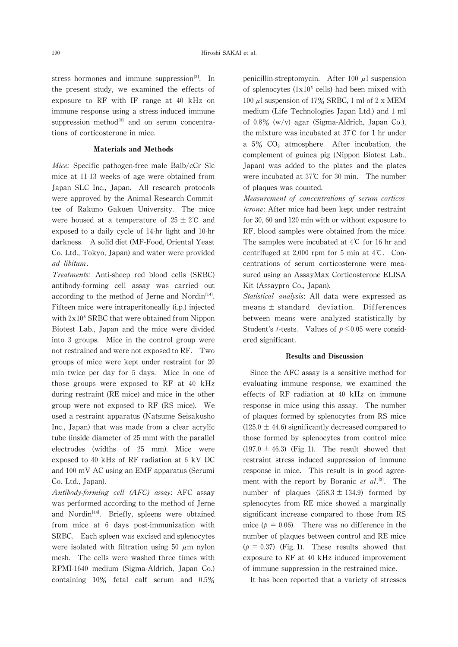stress hormones and immune suppression $^{[3]}$ . In the present study, we examined the effects of exposure to RF with IF range at 40 kHz on immune response using a stress-induced immune suppression method<sup>[3]</sup> and on serum concentrations of corticosterone in mice.

## Materials and Methods

Mice: Specific pathogen-free male Balb/cCr Slc mice at 11-13 weeks of age were obtained from Japan SLC Inc., Japan. All research protocols were approved by the Animal Research Committee of Rakuno Gakuen University. The mice were housed at a temperature of  $25 \pm 2^{\circ}$  and exposed to a daily cycle of 14-hr light and 10-hr darkness. A solid diet (MF-Food, Oriental Yeast Co. Ltd., Tokyo, Japan) and water were provided ad libitum.

Treatments: Anti-sheep red blood cells (SRBC) antibody-forming cell assay was carried out according to the method of Jerne and Nordin $[14]$ . Fifteen mice were intraperitoneally (i.p.) injected with  $2x10<sup>8</sup>$  SRBC that were obtained from Nippon Biotest Lab., Japan and the mice were divided into 3 groups. Mice in the control group were not restrained and were not exposed to RF. Two groups of mice were kept under restraint for 20 min twice per day for 5 days. Mice in one of those groups were exposed to RF at 40 kHz during restraint (RE mice) and mice in the other group were not exposed to RF (RS mice). We used a restraint apparatus (Natsume Seisakusho Inc., Japan) that was made from a clear acrylic tube (inside diameter of 25 mm) with the parallel electrodes (widths of 25 mm). Mice were exposed to 40 kHz of RF radiation at 6 kV DC and 100mV AC using an EMF apparatus(Serumi Co. Ltd., Japan).

Antibody-forming cell (AFC) assay: AFC assay was performed according to the method of Jerne and Nordin<sup>[14]</sup>. Briefly, spleens were obtained from mice at 6 days post-immunization with SRBC. Each spleen was excised and splenocytes were isolated with filtration using 50  $\mu$ m nylon mesh. The cells were washed three times with RPMI-1640 medium (Sigma-Aldrich, Japan Co.) containing 10% fetal calf serum and 0.5% penicillin-streptomycin. After 100  $\mu$ l suspension of splenocytes  $(1x10<sup>5</sup>$  cells) had been mixed with 100  $\mu$ l suspension of 17% SRBC, 1 ml of 2 x MEM medium (Life Technologies Japan Ltd.) and 1 ml of 0.8% (w/v) agar (Sigma-Aldrich, Japan Co.), the mixture was incubated at  $37^{\circ}$ C for 1 hr under a  $5\%$  CO<sub>2</sub> atmosphere. After incubation, the complement of guinea pig (Nippon Biotest Lab., Japan) was added to the plates and the plates were incubated at 37℃ for 30min. The number of plaques was counted.

Measurement of concentrations of serum corticosterone:After mice had been kept under restraint for 30, 60 and 120 min with or without exposure to RF, blood samples were obtained from the mice. The samples were incubated at 4℃ for 16 hr and centrifuged at 2,000 rpm for 5 min at 4℃. Concentrations of serum corticosterone were measured using an AssayMax Corticosterone ELISA Kit (Assaypro Co., Japan).

Statistical analysis: All data were expressed as means  $\pm$  standard deviation. Differences between means were analyzed statistically by Student's *t*-tests. Values of  $p \le 0.05$  were considered significant.

## Results and Discussion

Since the AFC assay is a sensitive method for evaluating immune response, we examined the effects of RF radiation at 40 kHz on immune response in mice using this assay. The number of plaques formed by splenocytes from RS mice  $(125.0 \pm 44.6)$  significantly decreased compared to those formed by splenocytes from control mice (197.0  $\pm$  46.3) (Fig. 1). The result showed that restraint stress induced suppression of immune response in mice. This result is in good agreement with the report by Boranic et  $al$ .<sup>[3]</sup>. The number of plaques  $(258.3 \pm 134.9)$  formed by splenocytes from RE mice showed a marginally significant increase compared to those from RS mice ( $p = 0.06$ ). There was no difference in the number of plaques between control and RE mice  $(p = 0.37)$  (Fig. 1). These results showed that exposure to RF at 40 kHz induced improvement of immune suppression in the restrained mice.

It has been reported that a variety of stresses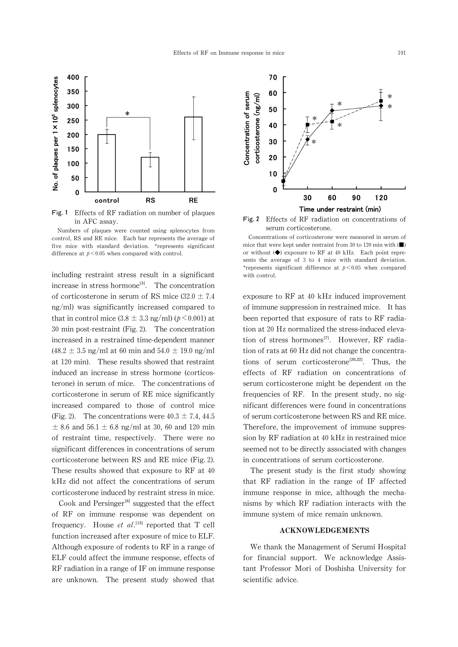

Fig. 1 Effects of RF radiation on number of plaques in AFC assay.

Numbers of plaques were counted using splenocytes from control,RS and RE mice. Each bar represents the average of five mice with standard deviation. \*represents significant difference at  $p < 0.05$  when compared with control.

including restraint stress result in a significant increase in stress hormone<sup>[3]</sup>. The concentration of corticosterone in serum of RS mice (32.0  $\pm$  7.4 ng/ml) was significantly increased compared to that in control mice  $(3.8 \pm 3.3 \text{ ng/ml})$  ( $p \le 0.001$ ) at 30 min post-restraint (Fig. 2). The concentration increased in a restrained time-dependent manner  $(48.2 \pm 3.5 \text{ ng/ml at } 60 \text{ min and } 54.0 \pm 19.0 \text{ ng/ml}$ at 120min). These results showed that restraint induced an increase in stress hormone (corticosterone) in serum of mice. The concentrations of corticosterone in serum of RE mice significantly increased compared to those of control mice (Fig. 2). The concentrations were  $40.3 \pm 7.4$ , 44.5  $\pm$  8.6 and 56.1  $\pm$  6.8 ng/ml at 30, 60 and 120 min of restraint time, respectively. There were no significant differences in concentrations of serum corticosterone between RS and RE mice (Fig.2). These results showed that exposure to RF at 40 kHz did not affect the concentrations of serum corticosterone induced by restraint stress in mice.

Cook and Persinger $^{[6]}$  suggested that the effect of RF on immune response was dependent on frequency. House et al.<sup>[13]</sup> reported that T cell function increased after exposure of mice to ELF. Although exposure of rodents to RF in a range of ELF could affect the immune response, effects of  $RF$  radiation in a range of IF on immune response are unknown. The present study showed that



Fig.2 Effects of RF radiation on concentrations of serum corticosterone.

exposure to RF at 40 kHz induced improvement of immune suppression in restrained mice. It has been reported that exposure of rats to RF radiation at 20 Hz normalized the stress-induced elevation of stress hormones<sup>[7]</sup>. However, RF radiation of rats at 60 Hz did not change the concentrations of serum corticosterone<sup>[20,22]</sup>. Thus, the effects of RF radiation on concentrations of serum corticosterone might be dependent on the frequencies of RF. In the present study, no significant differences were found in concentrations of serum corticosterone between RS and RE mice. Therefore, the improvement of immune suppression by RF radiation at 40 kHz in restrained mice seemed not to be directly associated with changes in concentrations of serum corticosterone.

The present study is the first study showing that RF radiation in the range of IF affected immune response in mice, although the mechanisms by which RF radiation interacts with the immune system of mice remain unknown.

# ACKNOWLEDGEMENTS

We thank the Management of Serumi Hospital for financial support. We acknowledge Assistant Professor Mori of Doshisha University for scientific advice.

Concentrations of corticosterone were measured in serum of mice that were kept under restraint from 30 to 120 min with  $(\blacksquare)$ or without  $(\blacklozenge)$  exposure to RF at 40 kHz. Each point represents the average of 3 to 4 mice with standard deviation. \*represents significant difference at  $p \leq 0.05$  when compared with control.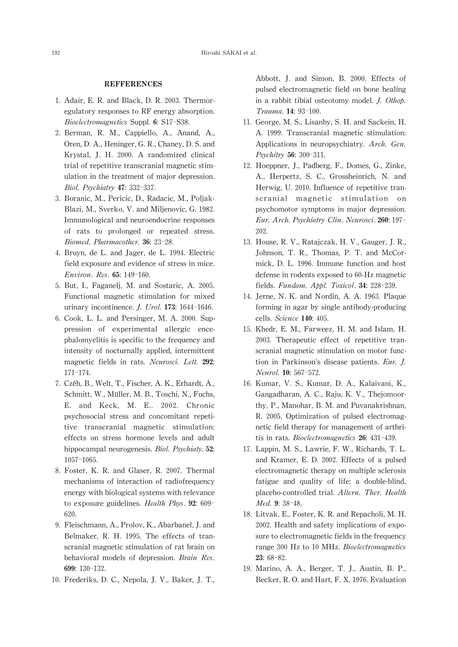### **REFFERENCES**

- 1. Adair, E. R. and Black, D. R. 2003. Thermoregulatory responses to RF energy absorption. Bioelectromagnetics Suppl. 6: S17-S38.
- 2. Berman, R. M., Cappiello, A., Anand, A., Oren, D. A., Heninger, G. R., Chaney, D. S. and Krystal, J. H. 2000. A randomized clinical trial of repetitive transcranial magnetic stimulation in the treatment of major depression. Biol. Psychiatry 47:332-337.
- 3. Boranic, M., Pericic, D., Radacic, M., Poljak-Blazi, M., Sverko, V. and Miljenovic, G. 1982. Immunological and neuroendocrine responses of rats to prolonged or repeated stress. Biomed. Pharmacother. 36:23-28.
- 4. Bruyn, de L. and Jager, de L. 1994. Electric field exposure and evidence of stress in mice. Environ. Res.65:149-160.
- 5. But, I., Faganelj, M. and Sostaric, A. 2005. Functional magnetic stimulation for mixed urinary incontinence. *J. Urol.* 173: 1644-1646.
- 6. Cook, L. L. and Persinger, M. A. 2000. Suppression of experimental allergic encephalomyelitis is specific to the frequency and intensity of nocturnally applied, intermittent magnetic fields in rats. Neurosci. Lett. 292: 171-174.
- 7. Czéh, B., Welt, T., Fischer, A.K., Erhardt, A., Schmitt, W., Müller, M. B., Toschi, N., Fuchs, E. and Keck, M. E.. 2002. Chronic psychosocial stress and concomitant repetitive transcranial magnetic stimulation: effects on stress hormone levels and adult hippocampal neurogenesis. Biol. Psychiaty. 52: 1057-1065.
- 8. Foster, K. R. and Glaser, R. 2007. Thermal mechanisms of interaction of radiofrequency energy with biological systems with relevance to exposure guidelines. Health Phys. 92: 609-620.
- 9. Fleischmann, A., Prolov, K., Abarbanel, J. and Belmaker, R. H. 1995. The effects of transcranial magnetic stimulation of rat brain on behavioral models of depression. Brain Res. 699:130-132.
- 10. Frederiks, D. C., Nepola, J. V., Baker, J. T.,

Abbott, J. and Simon, B. 2000. Effects of pulsed electromagnetic field on bone healing in a rabbit tibial osteotomy model. J. Othop. Trauma. 14:93-100.

- 11. George, M. S., Lisanby, S. H. and Sackein, H. A. 1999. Transcranial magnetic stimulation: Applications in neuropsychiatry. Arch. Gen. Psychitry 56:300-311.
- 12. Hoeppner, J., Padberg, F., Domes, G., Zinke, A., Herpertz, S. C., Grossheinrich, N. and Herwig, U. 2010. Influence of repetitive transcranial magnetic stimulation on psychomotor symptoms in major depression. Eur. Arch. Psychiatry Clin. Neurosci. 260: 197-202.
- 13. House, R. V., Ratajczak, H. V., Gauger, J. R., Johnson, T. R., Thomas, P. T. and McCormick, D. L. 1996. Immune function and host defense in rodents exposed to 60-Hz magnetic fields. Fundam. Appl. Toxicol. 34: 228-239.
- 14. Jerne, N. K. and Nordin, A. A. 1963. Plaque forming in agar by single antibody-producing cells. Science 140: 405.
- 15. Khedr, E. M., Farweez, H. M. and Islam, H. 2003. Therapeutic effect of repetitive transcranial magnetic stimulation on motor function in Parkinson's disease patients. Eur. J. Neurol. 10:567-572.
- 16. Kumar, V. S., Kumar, D. A., Kalaivani, K., Gangadharan, A. C., Raju, K. V., Thejomoorthy, P., Manohar, B. M. and Puvanakrishnan, R. 2005. Optimization of pulsed electromagnetic field therapy for management of arthritis in rats. Bioelectromagnetics 26:431-439.
- 17. Lappin, M. S., Lawrie, F. W., Richards, T. L. and Kramer, E. D. 2002. Effects of a pulsed electromagnetic therapy on multiple sclerosis fatigue and quality of life: a double-blind, placebo-controlled trial. Altern. Ther. Health Med. 9: 38-48.
- 18. Litvak, E., Foster, K. R. and Repacholi, M. H. 2002. Health and safety implications of exposure to electromagnetic fields in the frequency range 300 Hz to 10 MHz. Bioelectromagnetics 23:68-82.
- 19. Marino, A. A., Berger, T. J., Austin, B. P., Becker, R.O. and Hart, F. X. 1976. Evaluation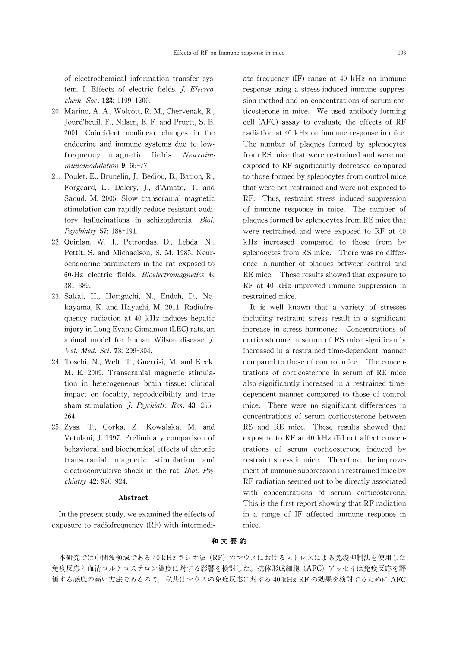of electrochemical information transfer system. I. Effects of electric fields. J. Elecreochem. Soc. 123: 1199-1200.

- 20. Marino, A. A., Wolcott, R. M., Chervenak, R., Jourd'heuil, F., Nilsen, E. F. and Pruett, S. B. 2001. Coincident nonlinear changes in the endocrine and immune systems due to lowfrequency magnetic fields. Neuroimmunomodulation 9: 65-77.
- 21. Poulet, E., Brunelin, J., Bediou, B., Bation, R., Forgeard, L., Dalery, J., d'Amato, T. and Saoud, M. 2005. Slow transcranial magnetic stimulation can rapidly reduce resistant auditory hallucinations in schizophrenia. Biol. Psychiatry 57:188-191.
- 22. Quinlan, W. J., Petrondas, D., Lebda, N., Pettit, S. and Michaelson, S. M. 1985. Neuroendocrine parameters in the rat exposed to 60-Hz electric fields. Bioelectromagnetics 6: 381-389.
- 23. Sakai, H., Horiguchi, N., Endoh, D., Nakayama, K. and Hayashi, M. 2011. Radiofrequency radiation at 40 kHz induces hepatic injury in Long-Evans Cinnamon (LEC) rats, an animal model for human Wilson disease. J. Vet. Med. Sci.73:299-304.
- 24. Toschi, N., Welt, T., Guerrisi, M. and Keck, M. E. 2009. Transcranial magnetic stimulation in heterogeneous brain tissue: clinical impact on focality, reproducibility and true sham stimulation. J. Psychiatr. Res. 43: 255- 264.
- 25. Zyss, T., Gorka, Z., Kowalska, M. and Vetulani, J. 1997. Preliminary comparison of behavioral and biochemical effects of chronic transcranial magnetic stimulation and electroconvulsive shock in the rat. Biol. Psychiatry 42: 920-924.

## Abstract

In the present study, we examined the effects of exposure to radiofrequency (RF) with intermediate frequency (IF) range at 40 kHz on immune response using a stress-induced immune suppression method and on concentrations of serum corticosterone in mice. We used antibody-forming cell (AFC) assay to evaluate the effects of RF radiation at 40 kHz on immune response in mice. The number of plaques formed by splenocytes from RS mice that were restrained and were not exposed to RF significantly decreased compared to those formed by splenocytes from control mice that were not restrained and were not exposed to RF. Thus, restraint stress induced suppression of immune response in mice. The number of plaques formed by splenocytes from RE mice that were restrained and were exposed to RF at 40 kHz increased compared to those from by splenocytes from RS mice. There was no difference in number of plaques between control and RE mice. These results showed that exposure to RF at 40 kHz improved immune suppression in restrained mice.

It is well known that a variety of stresses including restraint stress result in a significant increase in stress hormones. Concentrations of corticosterone in serum of RS mice significantly increased in a restrained time-dependent manner compared to those of control mice. The concentrations of corticosterone in serum of RE mice also significantly increased in a restrained timedependent manner compared to those of control mice. There were no significant differences in concentrations of serum corticosterone between RS and RE mice. These results showed that exposure to RF at 40 kHz did not affect concentrations of serum corticosterone induced by restraint stress in mice. Therefore, the improvement of immune suppression in restrained mice by RF radiation seemed not to be directly associated with concentrations of serum corticosterone. This is the first report showing that RF radiation in a range of IF affected immune response in mice.

# 和 文 要 約

本研究では中間波領域である 40 kHz ラジオ波 (RF) のマウスにおけるストレスによる免疫抑制法を使用した 免疫反応と血清コルチコステロン濃度に対する影響を検討した。抗体形成細胞(AFC)アッセイは免疫反応を評 価する感度の高い方法であるので、私共はマウスの免疫反応に対する 40 kHz RF の効果を検討するために AFC